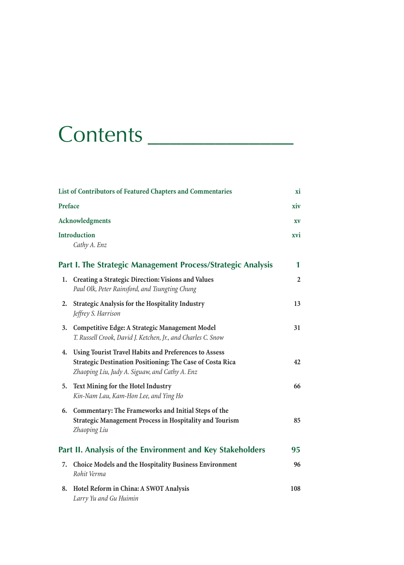## Contents \_\_\_\_\_\_\_\_\_\_\_\_\_

|    | List of Contributors of Featured Chapters and Commentaries<br>Preface                                                                                                       |                |
|----|-----------------------------------------------------------------------------------------------------------------------------------------------------------------------------|----------------|
|    |                                                                                                                                                                             |                |
|    | Acknowledgments                                                                                                                                                             | XV             |
|    | <b>Introduction</b><br>Cathy A. Enz                                                                                                                                         | xvi            |
|    | Part I. The Strategic Management Process/Strategic Analysis                                                                                                                 | 1              |
| 1. | <b>Creating a Strategic Direction: Visions and Values</b><br>Paul Olk, Peter Rainsford, and Tsungting Chung                                                                 | $\overline{2}$ |
| 2. | Strategic Analysis for the Hospitality Industry<br>Jeffrey S. Harrison                                                                                                      | 13             |
| 3. | Competitive Edge: A Strategic Management Model<br>T. Russell Crook, David J. Ketchen, Jr., and Charles C. Snow                                                              | 31             |
| 4. | Using Tourist Travel Habits and Preferences to Assess<br><b>Strategic Destination Positioning: The Case of Costa Rica</b><br>Zhaoping Liu, Judy A. Siguaw, and Cathy A. Enz | 42             |
| 5. | Text Mining for the Hotel Industry<br>Kin-Nam Lau, Kam-Hon Lee, and Ying Ho                                                                                                 | 66             |
| 6. | Commentary: The Frameworks and Initial Steps of the<br><b>Strategic Management Process in Hospitality and Tourism</b><br>Zhaoping Liu                                       | 85             |
|    | Part II. Analysis of the Environment and Key Stakeholders                                                                                                                   | 95             |
| 7. | Choice Models and the Hospitality Business Environment<br>Rohit Verma                                                                                                       | 96             |
| 8. | Hotel Reform in China: A SWOT Analysis<br>Larry Yu and Gu Huimin                                                                                                            | 108            |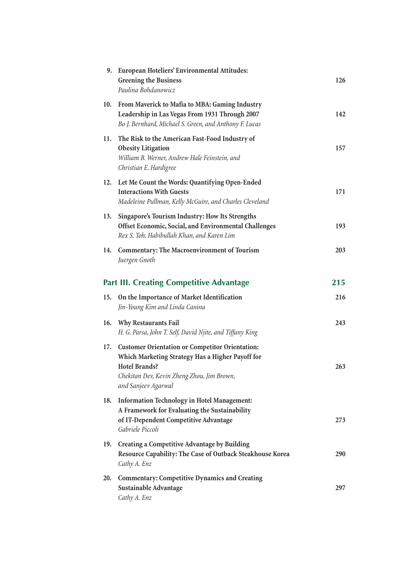|     | 9. European Hoteliers' Environmental Attitudes:<br><b>Greening the Business</b><br>Paulina Bohdanowicz                                                                                                  | 126 |
|-----|---------------------------------------------------------------------------------------------------------------------------------------------------------------------------------------------------------|-----|
| 10. | From Maverick to Mafia to MBA: Gaming Industry<br>Leadership in Las Vegas From 1931 Through 2007<br>Bo J. Bernhard, Michael S. Green, and Anthony F. Lucas                                              | 142 |
| 11. | The Risk to the American Fast-Food Industry of<br><b>Obesity Litigation</b><br>William B. Werner, Andrew Hale Feinstein, and<br>Christian E. Hardigree                                                  | 157 |
| 12. | Let Me Count the Words: Quantifying Open-Ended<br><b>Interactions With Guests</b><br>Madeleine Pullman, Kelly McGuire, and Charles Cleveland                                                            | 171 |
| 13. | Singapore's Tourism Industry: How Its Strengths<br>Offset Economic, Social, and Environmental Challenges<br>Rex S. Toh, Habibullah Khan, and Karen Lim                                                  | 193 |
| 14. | Commentary: The Macroenvironment of Tourism<br>Juergen Gnoth                                                                                                                                            | 203 |
|     | <b>Part III. Creating Competitive Advantage</b>                                                                                                                                                         | 215 |
| 15. | On the Importance of Market Identification<br>Jin-Young Kim and Linda Canina                                                                                                                            | 216 |
| 16. | <b>Why Restaurants Fail</b><br>H. G. Parsa, John T. Self, David Njite, and Tiffany King                                                                                                                 | 243 |
| 17. | <b>Customer Orientation or Competitor Orientation:</b><br>Which Marketing Strategy Has a Higher Payoff for<br><b>Hotel Brands?</b><br>Chekitan Dev, Kevin Zheng Zhou, Jim Brown,<br>and Sanjeev Agarwal | 263 |
| 18. | <b>Information Technology in Hotel Management:</b><br>A Framework for Evaluating the Sustainability<br>of IT-Dependent Competitive Advantage<br>Gabriele Piccoli                                        | 273 |
| 19. | Creating a Competitive Advantage by Building<br>Resource Capability: The Case of Outback Steakhouse Korea<br>Cathy A. Enz                                                                               | 290 |
| 20. | <b>Commentary: Competitive Dynamics and Creating</b><br>Sustainable Advantage<br>Cathy A. Enz                                                                                                           | 297 |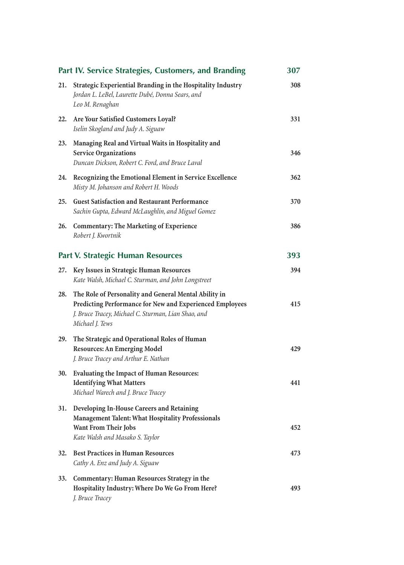| Part IV. Service Strategies, Customers, and Branding |                                                                                                                                                                                             | 307 |
|------------------------------------------------------|---------------------------------------------------------------------------------------------------------------------------------------------------------------------------------------------|-----|
| 21.                                                  | Strategic Experiential Branding in the Hospitality Industry<br>Jordan L. LeBel, Laurette Dubé, Donna Sears, and<br>Leo M. Renaghan                                                          | 308 |
| 22.                                                  | Are Your Satisfied Customers Loyal?<br>Iselin Skogland and Judy A. Siguaw                                                                                                                   | 331 |
| 23.                                                  | Managing Real and Virtual Waits in Hospitality and<br><b>Service Organizations</b><br>Duncan Dickson, Robert C. Ford, and Bruce Laval                                                       | 346 |
| 24.                                                  | Recognizing the Emotional Element in Service Excellence<br>Misty M. Johanson and Robert H. Woods                                                                                            | 362 |
| 25.                                                  | <b>Guest Satisfaction and Restaurant Performance</b><br>Sachin Gupta, Edward McLaughlin, and Miguel Gomez                                                                                   | 370 |
| 26.                                                  | <b>Commentary: The Marketing of Experience</b><br>Robert J. Kwortnik                                                                                                                        | 386 |
| <b>Part V. Strategic Human Resources</b>             |                                                                                                                                                                                             | 393 |
| 27.                                                  | Key Issues in Strategic Human Resources<br>Kate Walsh, Michael C. Sturman, and John Longstreet                                                                                              | 394 |
| 28.                                                  | The Role of Personality and General Mental Ability in<br>Predicting Performance for New and Experienced Employees<br>J. Bruce Tracey, Michael C. Sturman, Lian Shao, and<br>Michael J. Tews | 415 |
| 29.                                                  | The Strategic and Operational Roles of Human<br><b>Resources: An Emerging Model</b><br>J. Bruce Tracey and Arthur E. Nathan                                                                 | 429 |
| 30.                                                  | <b>Evaluating the Impact of Human Resources:</b><br><b>Identifying What Matters</b><br>Michael Warech and J. Bruce Tracey                                                                   | 441 |
| 31.                                                  | Developing In-House Careers and Retaining<br><b>Management Talent: What Hospitality Professionals</b><br>Want From Their Jobs<br>Kate Walsh and Masako S. Taylor                            | 452 |
| 32.                                                  | <b>Best Practices in Human Resources</b><br>Cathy A. Enz and Judy A. Siguaw                                                                                                                 | 473 |
| 33.                                                  | Commentary: Human Resources Strategy in the<br>Hospitality Industry: Where Do We Go From Here?<br>J. Bruce Tracey                                                                           | 493 |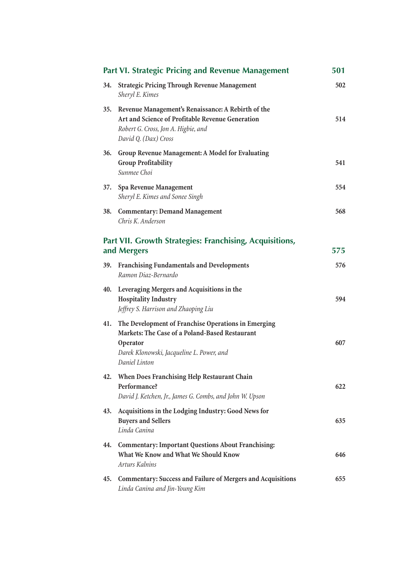|                                                                        | Part VI. Strategic Pricing and Revenue Management                                                                                                                               | 501 |
|------------------------------------------------------------------------|---------------------------------------------------------------------------------------------------------------------------------------------------------------------------------|-----|
| 34.                                                                    | <b>Strategic Pricing Through Revenue Management</b><br>Sheryl E. Kimes                                                                                                          | 502 |
| 35.                                                                    | Revenue Management's Renaissance: A Rebirth of the<br>Art and Science of Profitable Revenue Generation<br>Robert G. Cross, Jon A. Higbie, and<br>David Q. (Dax) Cross           | 514 |
| 36.                                                                    | Group Revenue Management: A Model for Evaluating<br><b>Group Profitability</b><br>Sunmee Choi                                                                                   | 541 |
| 37.                                                                    | Spa Revenue Management<br>Sheryl E. Kimes and Sonee Singh                                                                                                                       | 554 |
| 38.                                                                    | <b>Commentary: Demand Management</b><br>Chris K. Anderson                                                                                                                       | 568 |
| Part VII. Growth Strategies: Franchising, Acquisitions,<br>and Mergers |                                                                                                                                                                                 | 575 |
| 39.                                                                    | Franchising Fundamentals and Developments<br>Ramon Diaz-Bernardo                                                                                                                | 576 |
| 40.                                                                    | Leveraging Mergers and Acquisitions in the<br><b>Hospitality Industry</b><br>Jeffrey S. Harrison and Zhaoping Liu                                                               | 594 |
| 41.                                                                    | The Development of Franchise Operations in Emerging<br>Markets: The Case of a Poland-Based Restaurant<br>Operator<br>Darek Klonowski, Jacqueline L. Power, and<br>Daniel Linton | 607 |
| 42.                                                                    | When Does Franchising Help Restaurant Chain<br>Performance?<br>David J. Ketchen, Jr., James G. Combs, and John W. Upson                                                         | 622 |
| 43.                                                                    | Acquisitions in the Lodging Industry: Good News for<br><b>Buyers and Sellers</b><br>Linda Canina                                                                                | 635 |
| 44.                                                                    | <b>Commentary: Important Questions About Franchising:</b><br>What We Know and What We Should Know<br>Arturs Kalnins                                                             | 646 |
| 45.                                                                    | <b>Commentary: Success and Failure of Mergers and Acquisitions</b><br>Linda Canina and Jin-Young Kim                                                                            | 655 |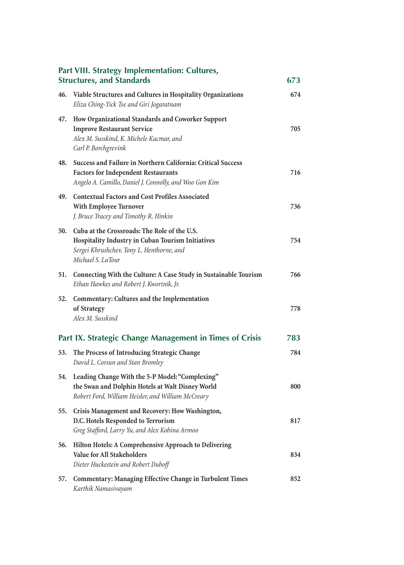|     | Part VIII. Strategy Implementation: Cultures,<br><b>Structures, and Standards</b>                                                                                    | 673 |
|-----|----------------------------------------------------------------------------------------------------------------------------------------------------------------------|-----|
| 46. | Viable Structures and Cultures in Hospitality Organizations<br>Eliza Ching-Yick Tse and Giri Jogaratnam                                                              | 674 |
| 47. | How Organizational Standards and Coworker Support<br><b>Improve Restaurant Service</b><br>Alex M. Susskind, K. Michele Kacmar, and<br>Carl P. Borchgrevink           | 705 |
| 48. | Success and Failure in Northern California: Critical Success<br><b>Factors for Independent Restaurants</b><br>Angelo A. Camillo, Daniel J. Connolly, and Woo Gon Kim | 716 |
| 49. | <b>Contextual Factors and Cost Profiles Associated</b><br>With Employee Turnover<br>J. Bruce Tracey and Timothy R. Hinkin                                            | 736 |
| 50. | Cuba at the Crossroads: The Role of the U.S.<br>Hospitality Industry in Cuban Tourism Initiatives<br>Sergei Khrushchev, Tony L. Henthorne, and<br>Michael S. LaTour  | 754 |
| 51. | Connecting With the Culture: A Case Study in Sustainable Tourism<br>Ethan Hawkes and Robert J. Kwortnik, Jr.                                                         | 766 |
| 52. | Commentary: Cultures and the Implementation<br>of Strategy<br>Alex M. Susskind                                                                                       | 778 |
|     | Part IX. Strategic Change Management in Times of Crisis                                                                                                              | 783 |
| 53. | The Process of Introducing Strategic Change<br>David L. Corsun and Stan Bromley                                                                                      | 784 |
| 54. | Leading Change With the 5-P Model: "Complexing"<br>the Swan and Dolphin Hotels at Walt Disney World<br>Robert Ford, William Heisler, and William McCreary            | 800 |
| 55. | Crisis Management and Recovery: How Washington,<br>D.C. Hotels Responded to Terrorism<br>Greg Stafford, Larry Yu, and Alex Kobina Armoo                              | 817 |
| 56. | Hilton Hotels: A Comprehensive Approach to Delivering<br><b>Value for All Stakeholders</b><br>Dieter Huckestein and Robert Duboff                                    | 834 |
| 57. | <b>Commentary: Managing Effective Change in Turbulent Times</b><br>Karthik Namasivayam                                                                               | 852 |